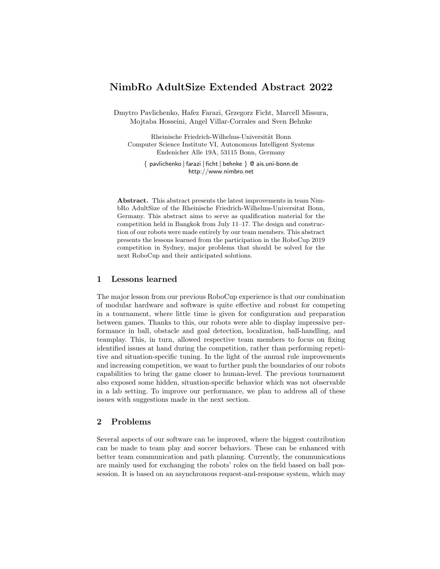# NimbRo AdultSize Extended Abstract 2022

Dmytro Pavlichenko, Hafez Farazi, Grzegorz Ficht, Marcell Missura, Mojtaba Hosseini, Angel Villar-Corrales and Sven Behnke

Rheinische Friedrich-Wilhelms-Universität Bonn Computer Science Institute VI, Autonomous Intelligent Systems Endenicher Alle 19A, 53115 Bonn, Germany

 $\{$  pavlichenko  $|$  farazi  $|$  ficht  $|$  behnke  $\}$  @ ais.uni-bonn.de http://www.nimbro.net

Abstract. This abstract presents the latest improvements in team NimbRo AdultSize of the Rheinische Friedrich-Wilhelms-Universitat Bonn, Germany. This abstract aims to serve as qualification material for the competition held in Bangkok from July 11–17. The design and construction of our robots were made entirely by our team members. This abstract presents the lessons learned from the participation in the RoboCup 2019 competition in Sydney, major problems that should be solved for the next RoboCup and their anticipated solutions.

## 1 Lessons learned

The major lesson from our previous RoboCup experience is that our combination of modular hardware and software is quite effective and robust for competing in a tournament, where little time is given for configuration and preparation between games. Thanks to this, our robots were able to display impressive performance in ball, obstacle and goal detection, localization, ball-handling, and teamplay. This, in turn, allowed respective team members to focus on fixing identified issues at hand during the competition, rather than performing repetitive and situation-specific tuning. In the light of the annual rule improvements and increasing competition, we want to further push the boundaries of our robots capabilities to bring the game closer to human-level. The previous tournament also exposed some hidden, situation-specific behavior which was not observable in a lab setting. To improve our performance, we plan to address all of these issues with suggestions made in the next section.

### 2 Problems

Several aspects of our software can be improved, where the biggest contribution can be made to team play and soccer behaviors. These can be enhanced with better team communication and path planning. Currently, the communications are mainly used for exchanging the robots' roles on the field based on ball possession. It is based on an asynchronous request-and-response system, which may